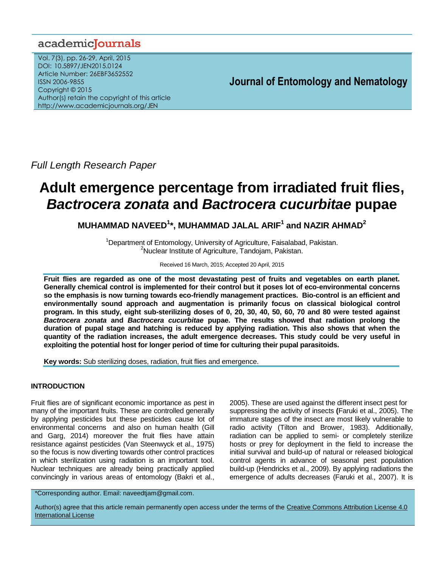# academiclournals

Vol. 7(3), pp. 26-29, April, 2015 DOI: 10.5897/JEN2015.0124 Article Number: 26EBF3652552 ISSN 2006-9855 Copyright © 2015 Author(s) retain the copyright of this article http://www.academicjournals.org/JEN

# **Journal of Entomology and Nematology**

*Full Length Research Paper*

# **Adult emergence percentage from irradiated fruit flies,**  *Bactrocera zonata* **and** *Bactrocera cucurbitae* **pupae**

**MUHAMMAD NAVEED<sup>1</sup> \*, MUHAMMAD JALAL ARIF<sup>1</sup> and NAZIR AHMAD<sup>2</sup>**

<sup>1</sup>Department of Entomology, University of Agriculture, Faisalabad, Pakistan. <sup>2</sup>Nuclear Institute of Agriculture, Tandojam, Pakistan.

### Received 16 March, 2015; Accepted 20 April, 2015

**Fruit flies are regarded as one of the most devastating pest of fruits and vegetables on earth planet. Generally chemical control is implemented for their control but it poses lot of eco-environmental concerns so the emphasis is now turning towards eco-friendly management practices. Bio-control is an efficient and environmentally sound approach and augmentation is primarily focus on classical biological control program. In this study, eight sub-sterilizing doses of 0, 20, 30, 40, 50, 60, 70 and 80 were tested against**  *Bactrocera zonata* **and** *Bactrocera cucurbitae* **pupae. The results showed that radiation prolong the duration of pupal stage and hatching is reduced by applying radiation. This also shows that when the quantity of the radiation increases, the adult emergence decreases. This study could be very useful in exploiting the potential host for longer period of time for culturing their pupal parasitoids.** 

**Key words:** Sub sterilizing doses, radiation, fruit flies and emergence.

# **INTRODUCTION**

Fruit flies are of significant economic importance as pest in many of the important fruits. These are controlled generally by applying pesticides but these pesticides cause lot of environmental concerns and also on human health (Gill and Garg, 2014) moreover the fruit flies have attain resistance against pesticides (Van Steenwyck et al., 1975) so the focus is now diverting towards other control practices in which sterilization using radiation is an important tool. Nuclear techniques are already being practically applied convincingly in various areas of entomology (Bakri et al.,

2005). These are used against the different insect pest for suppressing the activity of insects **(**Faruki et al., 2005). The immature stages of the insect are most likely vulnerable to radio activity (Tilton and Brower, 1983). Additionally, radiation can be applied to semi- or completely sterilize hosts or prey for deployment in the field to increase the initial survival and build-up of natural or released biological control agents in advance of seasonal pest population build-up (Hendricks et al., 2009). By applying radiations the emergence of adults decreases (Faruki et al., 2007). It is

\*Corresponding author. Email: naveedtjam@gmail.com.

Author(s) agree that this article remain permanently open access under the terms of the [Creative Commons Attribution License 4.0](http://creativecommons.org/licenses/by/4.0/deed.en_US)  [International License](http://creativecommons.org/licenses/by/4.0/deed.en_US)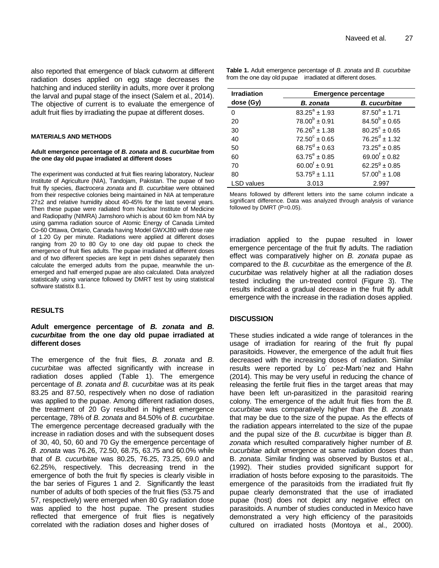also reported that emergence of black cutworm at different radiation doses applied on egg stage decreases the hatching and induced sterility in adults, more over it prolong the larval and pupal stage of the insect (Salem et al., 2014). The objective of current is to evaluate the emergence of adult fruit flies by irradiating the pupae at different doses.

#### **MATERIALS AND METHODS**

#### **Adult emergence percentage of** *B. zonata* **and** *B. cucurbitae* **from the one day old pupae irradiated at different doses**

The experiment was conducted at fruit flies rearing laboratory, Nuclear Institute of Agriculture (NIA), Tandojam, Pakistan. The pupae of two fruit fly species, *Bactrocera zonata* and *B. cucurbitae* were obtained from their respective colonies being maintained in NIA at temperature 27±2 and relative humidity about 40-45% for the last several years. Then these pupae were radiated from Nuclear Institute of Medicine and Radiopathy (NIMRA) Jamshoro which is about 60 km from NIA by using gamma radiation source of Atomic Energy of Canada Limited Co-60 Ottawa, Ontario, Canada having Model GWXJ80 with dose rate of 1.20 Gy per minute. Radiations were applied at different doses ranging from 20 to 80 Gy to one day old pupae to check the emergence of fruit flies adults. The pupae irradiated at different doses and of two different species are kept in petri dishes separately then calculate the emerged adults from the pupae, meanwhile the unemerged and half emerged pupae are also calculated. Data analyzed statistically using variance followed by DMRT test by using statistical software statistix 8.1.

#### **RESULTS**

# **Adult emergence percentage of** *B. zonata* **and** *B. cucurbitae* **from the one day old pupae irradiated at different doses**

The emergence of the fruit flies, *B. zonata* and *B. cucurbitae* was affected significantly with increase in radiation doses applied (Table 1). The emergence percentage of *B. zonata and B. cucurbitae* was at its peak 83.25 and 87.50, respectively when no dose of radiation was applied to the pupae. Among different radiation doses, the treatment of 20 Gy resulted in highest emergence percentage, 78% of *B. zonata* and 84.50% of *B. cucurbitae*. The emergence percentage decreased gradually with the increase in radiation doses and with the subsequent doses of 30, 40, 50, 60 and 70 Gy the emergence percentage of *B. zonata* was 76.26, 72.50, 68.75, 63.75 and 60.0% while that of *B. cucurbitae* was 80.25, 76.25, 73.25, 69.0 and 62.25%, respectively. This decreasing trend in the emergence of both the fruit fly species is clearly visible in the bar series of Figures 1 and 2. Significantly the least number of adults of both species of the fruit flies (53.75 and 57, respectively) were emerged when 80 Gy radiation dose was applied to the host pupae. The present studies reflected that emergence of fruit flies is negatively correlated with the radiation doses and higher doses of

**Table 1.** Adult emergence percentage of *B. zonata* and *B. cucurbitae*  from the one day old pupae irradiated at different doses.

| <b>Irradiation</b> | <b>Emergence percentage</b> |                            |
|--------------------|-----------------------------|----------------------------|
| dose (Gy)          | <b>B.</b> zonata            | <b>B.</b> cucurbitae       |
| 0                  | $83.25^a \pm 1.93$          | $87.50^a \pm 1.71$         |
| 20                 | $78.00^b \pm 0.91$          | $84.50^{b} \pm 0.65$       |
| 30                 | $76.26^{b} \pm 1.38$        | $80.25^{\circ} \pm 0.65$   |
| 40                 | $72.50^{\circ} \pm 0.65$    | $76.25^d \pm 1.32$         |
| 50                 | $68.75^{\text{d}} \pm 0.63$ | $73.25^e \pm 0.85$         |
| 60                 | $63.75^e \pm 0.85$          | $69.00^{\dagger} \pm 0.82$ |
| 70                 | $60.00^{\dagger} \pm 0.91$  | $62.25^9 \pm 0.85$         |
| 80                 | $53.75^9 \pm 1.11$          | $57.00^h \pm 1.08$         |
| LSD values         | 3.013                       | 2.997                      |

Means followed by different letters into the same column indicate a significant difference. Data was analyzed through analysis of variance followed by DMRT (P=0.05).

irradiation applied to the pupae resulted in lower emergence percentage of the fruit fly adults. The radiation effect was comparatively higher on *B. zonata* pupae as compared to the *B. cucurbitae* as the emergence of the *B. cucurbitae* was relatively higher at all the radiation doses tested including the un-treated control (Figure 3). The results indicated a gradual decrease in the fruit fly adult emergence with the increase in the radiation doses applied.

#### **DISCUSSION**

These studies indicated a wide range of tolerances in the usage of irradiation for rearing of the fruit fly pupal parasitoids. However, the emergence of the adult fruit flies decreased with the increasing doses of radiation. Similar results were reported by Lo´ pez-Martı´nez and Hahn (2014). This may be very useful in reducing the chance of releasing the fertile fruit flies in the target areas that may have been left un-parasitized in the parasitoid rearing colony. The emergence of the adult fruit flies from the *B. cucurbitae* was comparatively higher than the *B. zonata*  that may be due to the size of the pupae. As the effects of the radiation appears interrelated to the size of the pupae and the pupal size of the *B. cucurbitae* is bigger than *B. zonata* which resulted comparatively higher number of *B. cucurbitae* adult emergence at same radiation doses than B. *zonata*. Similar finding was observed by Bustos et al., (1992). Their studies provided significant support for irradiation of hosts before exposing to the parasitoids. The emergence of the parasitoids from the irradiated fruit fly pupae clearly demonstrated that the use of irradiated pupae (host) does not depict any negative effect on parasitoids. A number of studies conducted in Mexico have demonstrated a very high efficiency of the parasitoids cultured on irradiated hosts (Montoya et al., 2000).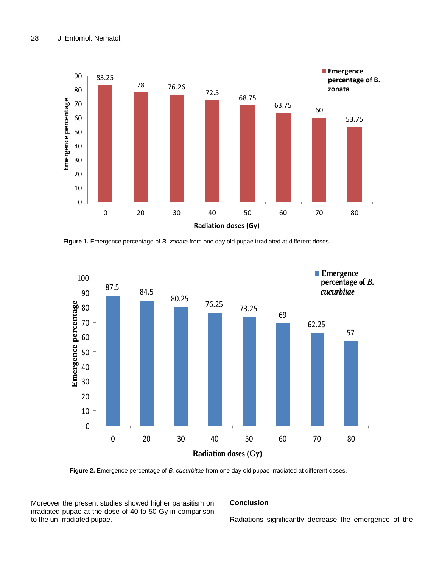

**Figure 1.** Emergence percentage of *B. zonata* from one day old pupae irradiated at different doses.



**Figure 2.** Emergence percentage of *B. cucurbitae* from one day old pupae irradiated at different doses.

Moreover the present studies showed higher parasitism on irradiated pupae at the dose of 40 to 50 Gy in comparison to the un-irradiated pupae.

# **Conclusion**

Radiations significantly decrease the emergence of the